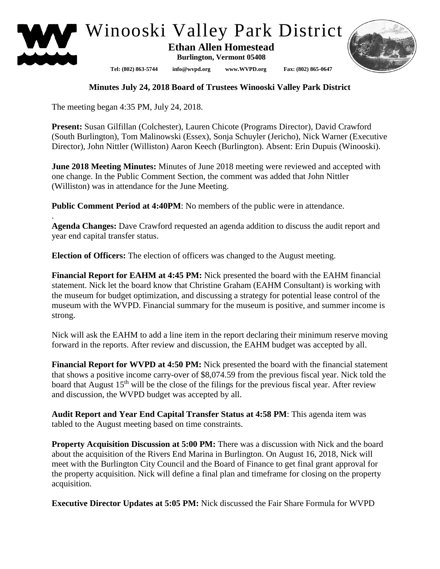



## **Minutes July 24, 2018 Board of Trustees Winooski Valley Park District**

The meeting began 4:35 PM, July 24, 2018.

.

**Present:** Susan Gilfillan (Colchester), Lauren Chicote (Programs Director), David Crawford (South Burlington), Tom Malinowski (Essex), Sonja Schuyler (Jericho), Nick Warner (Executive Director), John Nittler (Williston) Aaron Keech (Burlington). Absent: Erin Dupuis (Winooski).

**June 2018 Meeting Minutes:** Minutes of June 2018 meeting were reviewed and accepted with one change. In the Public Comment Section, the comment was added that John Nittler (Williston) was in attendance for the June Meeting.

**Public Comment Period at 4:40PM**: No members of the public were in attendance.

**Agenda Changes:** Dave Crawford requested an agenda addition to discuss the audit report and year end capital transfer status.

**Election of Officers:** The election of officers was changed to the August meeting.

**Financial Report for EAHM at 4:45 PM:** Nick presented the board with the EAHM financial statement. Nick let the board know that Christine Graham (EAHM Consultant) is working with the museum for budget optimization, and discussing a strategy for potential lease control of the museum with the WVPD. Financial summary for the museum is positive, and summer income is strong.

Nick will ask the EAHM to add a line item in the report declaring their minimum reserve moving forward in the reports. After review and discussion, the EAHM budget was accepted by all.

**Financial Report for WVPD at 4:50 PM:** Nick presented the board with the financial statement that shows a positive income carry-over of \$8,074.59 from the previous fiscal year. Nick told the board that August 15<sup>th</sup> will be the close of the filings for the previous fiscal year. After review and discussion, the WVPD budget was accepted by all.

**Audit Report and Year End Capital Transfer Status at 4:58 PM**: This agenda item was tabled to the August meeting based on time constraints.

**Property Acquisition Discussion at 5:00 PM:** There was a discussion with Nick and the board about the acquisition of the Rivers End Marina in Burlington. On August 16, 2018, Nick will meet with the Burlington City Council and the Board of Finance to get final grant approval for the property acquisition. Nick will define a final plan and timeframe for closing on the property acquisition.

**Executive Director Updates at 5:05 PM:** Nick discussed the Fair Share Formula for WVPD